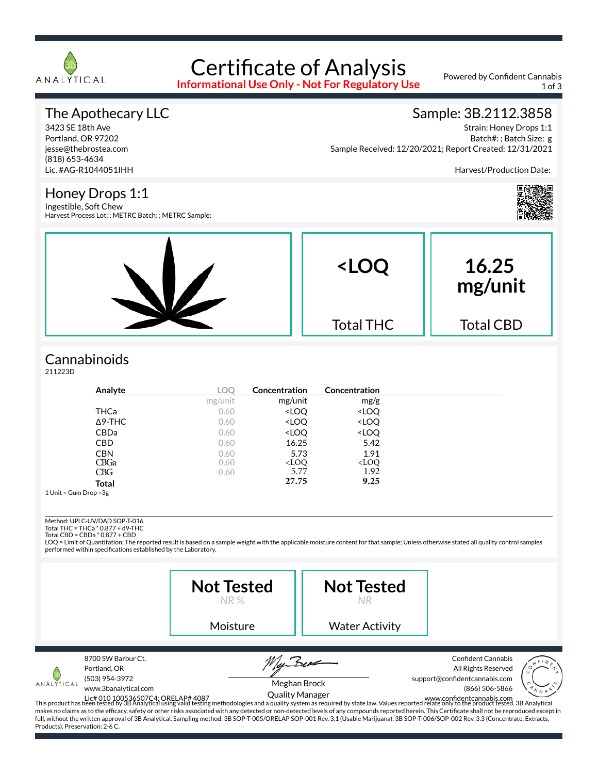

# Certificate of Analysis

**Informational Use Only - Not For Regulatory Use**

Powered by Confident Cannabis 1 of 3

### The Apothecary LLC

3423 SE 18th Ave Portland, OR 97202 jesse@thebrostea.com (818) 653-4634 Lic. #AG-R1044051IHH

Honey Drops 1:1 Ingestible, Soft Chew

#### Sample: 3B.2112.3858

Strain: Honey Drops 1:1 Batch#: ; Batch Size: g Sample Received: 12/20/2021; Report Created: 12/31/2021

Harvest/Production Date:



### **Cannabinoids**

211223D

| Analyte        | LOO     | Concentration                                            | Concentration                |  |
|----------------|---------|----------------------------------------------------------|------------------------------|--|
|                | mg/unit | mg/unit                                                  | mg/g                         |  |
| THCa           | 0.60    | <loq< td=""><td><loq< td=""><td></td></loq<></td></loq<> | <loq< td=""><td></td></loq<> |  |
| $\Delta$ 9-THC | 0.60    | <loq< td=""><td><loq< td=""><td></td></loq<></td></loq<> | <loq< td=""><td></td></loq<> |  |
| <b>CBDa</b>    | 0.60    | <loq< td=""><td><loq< td=""><td></td></loq<></td></loq<> | <loq< td=""><td></td></loq<> |  |
| <b>CBD</b>     | 0.60    | 16.25                                                    | 5.42                         |  |
| <b>CBN</b>     | 0.60    | 5.73                                                     | 1.91                         |  |
| <b>CBGa</b>    | 0.60    | $<$ LOQ                                                  | $<$ LOQ                      |  |
| CBG            | 0.60    | 5.77                                                     | 1.92                         |  |
| <b>Total</b>   |         | 27.75                                                    | 9.25                         |  |

1 Unit = Gum Drop =3g

Method: UPLC-UV/DAD SOP-T-016

Total THC = THCa \* 0.877 + d9-THC Total CBD = CBDa \* 0.877 + CBD

LOQ = Limit of Quantitation; The reported result is based on a sample weight with the applicable moisture content for that sample; Unless otherwise stated all quality control samples performed within specifications established by the Laboratory.

|                                               |                                                                              | <b>Not Tested</b><br>NR %                                                                                                                                                                                                                                                                                                                                                                                                                           | <b>Not Tested</b>     |                                                                                                                                                                                                                                                                                                           |
|-----------------------------------------------|------------------------------------------------------------------------------|-----------------------------------------------------------------------------------------------------------------------------------------------------------------------------------------------------------------------------------------------------------------------------------------------------------------------------------------------------------------------------------------------------------------------------------------------------|-----------------------|-----------------------------------------------------------------------------------------------------------------------------------------------------------------------------------------------------------------------------------------------------------------------------------------------------------|
|                                               |                                                                              | Moisture                                                                                                                                                                                                                                                                                                                                                                                                                                            | <b>Water Activity</b> |                                                                                                                                                                                                                                                                                                           |
| ANALYTICAL<br>Products). Preservation: 2-6 C. | 8700 SW Barbur Ct.<br>Portland, OR<br>(503) 954-3972<br>www.3banalytical.com | <b>Quality Manager</b><br>Lic# 010 100536507C4; ORELAP# 4087<br>This product has been tested by 3B Analytical using valid testing methodologies and a quality system as required by state law. Values reported relate only to the product tested. 3B Analyt<br>full, without the written approval of 3B Analytical. Sampling method: 3B SOP-T-005/ORELAP SOP-001 Rev. 3.1 (Usable Marijuana), 3B SOP-T-006/SOP-002 Rev. 3.3 (Concentrate, Extracts, | Meghan Brock          | <b>Confident Cannabis</b><br>All Rights Reserved<br>support@confidentcannabis.com<br>(866) 506-5866<br>makes no claims as to the efficacy, safety or other risks associated with any detected or non-detected levels of any compounds reported herein. This Certificate shall not be reproduced except in |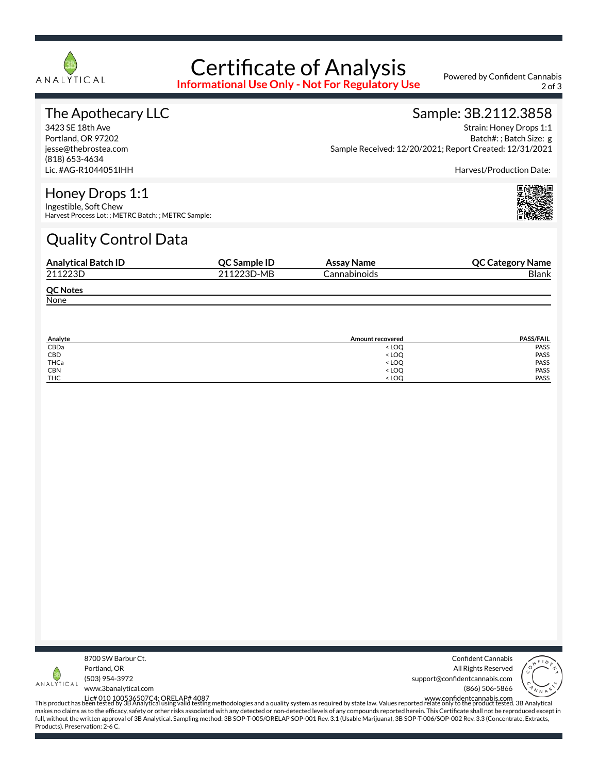

# Certificate of Analysis

**Informational Use Only - Not For Regulatory Use**

Powered by Confident Cannabis 2 of 3

### The Apothecary LLC

3423 SE 18th Ave Portland, OR 97202 jesse@thebrostea.com (818) 653-4634 Lic. #AG-R1044051IHH

#### Sample: 3B.2112.3858 Strain: Honey Drops 1:1

Batch#: ; Batch Size: g Sample Received: 12/20/2021; Report Created: 12/31/2021

Harvest/Production Date:

#### Honey Drops 1:1

Ingestible, Soft Chew Harvest Process Lot: ; METRC Batch: ; METRC Sample:

## Quality Control Data

| <b>Analytical Batch ID</b> | QC Sample ID | Assay Name   | <b>QC Category Name</b> |
|----------------------------|--------------|--------------|-------------------------|
| 211223D                    | 211223D-MB   | Cannabinoids | Blank                   |
| <b>QC Notes</b>            |              |              |                         |
| None                       |              |              |                         |

| Analyte    | Amount recovered                 | <b>PASS/FAIL</b> |
|------------|----------------------------------|------------------|
| CBDa       | < LOO                            | PASS             |
| CBD        | <b>LOQ</b>                       | PASS             |
| THCa       | < LOQ                            | PASS             |
| <b>CBN</b> | < LOQ                            | PASS             |
| <b>THC</b> | <loo< td=""><td>PASS</td></loo<> | PASS             |



Confident Cannabis All Rights Reserved support@confidentcannabis.com (866) 506-5866



www.3banalytical.com

Lic# 010 100536507C4; ORELAP# 4087<br>This product has been tested by 3B Analytical using valid testing methodologies and a quality system as required by state law. Values reported relate only to the product tested. 3B Analyt makes no claims as to the efficacy, safety or other risks associated with any detected or non-detected levels of any compounds reported herein. This Certificate shall not be reproduced except in full, without the written approval of 3B Analytical. Sampling method: 3B SOP-T-005/ORELAP SOP-001 Rev. 3.1 (Usable Marijuana), 3B SOP-T-006/SOP-002 Rev. 3.3 (Concentrate, Extracts, Products). Preservation: 2-6 C.